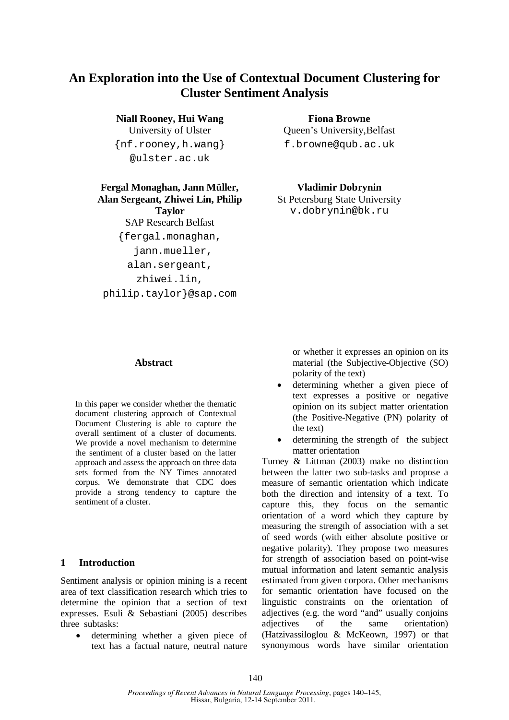# **An Exploration into the Use of Contextual Document Clustering for Cluster Sentiment Analysis**

**Niall Rooney, Hui Wang** University of Ulster {nf.rooney,h.wang} @ulster.ac.uk

# **Fergal Monaghan, Jann Müller, Alan Sergeant, Zhiwei Lin, Philip**

**Taylor** SAP Research Belfast {fergal.monaghan, jann.mueller, alan.sergeant, zhiwei.lin, philip.taylor}@sap.com

**Fiona Browne** Queen's University,Belfast f.browne@qub.ac.uk

**Vladimir Dobrynin** St Petersburg State University v.dobrynin@bk.ru

# **Abstract**

In this paper we consider whether the thematic document clustering approach of Contextual Document Clustering is able to capture the overall sentiment of a cluster of documents. We provide a novel mechanism to determine the sentiment of a cluster based on the latter approach and assess the approach on three data sets formed from the NY Times annotated corpus. We demonstrate that CDC does provide a strong tendency to capture the sentiment of a cluster.

### **1 Introduction**

Sentiment analysis or opinion mining is a recent area of text classification research which tries to determine the opinion that a section of text expresses. Esuli & Sebastiani (2005) describes three subtasks:

 determining whether a given piece of text has a factual nature, neutral nature

or whether it expresses an opinion on its material (the Subjective-Objective (SO) polarity of the text)

- determining whether a given piece of text expresses a positive or negative opinion on its subject matter orientation (the Positive-Negative (PN) polarity of the text)
- determining the strength of the subject matter orientation

Turney & Littman (2003) make no distinction between the latter two sub-tasks and propose a measure of semantic orientation which indicate both the direction and intensity of a text. To capture this, they focus on the semantic orientation of a word which they capture by measuring the strength of association with a set of seed words (with either absolute positive or negative polarity). They propose two measures for strength of association based on point-wise mutual information and latent semantic analysis estimated from given corpora. Other mechanisms for semantic orientation have focused on the linguistic constraints on the orientation of adjectives (e.g. the word "and" usually conjoins adjectives of the same orientation) (Hatzivassiloglou & McKeown, 1997) or that synonymous words have similar orientation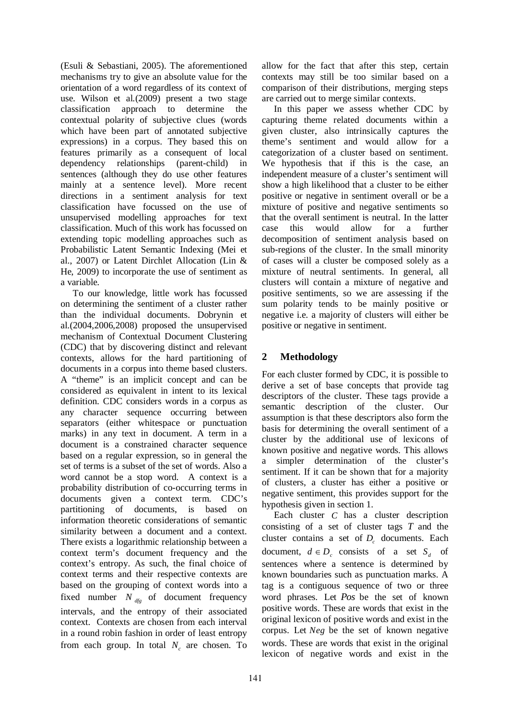(Esuli & Sebastiani, 2005). The aforementioned mechanisms try to give an absolute value for the orientation of a word regardless of its context of use. Wilson et al*.*(2009) present a two stage classification approach to determine the contextual polarity of subjective clues (words which have been part of annotated subjective expressions) in a corpus. They based this on features primarily as a consequent of local dependency relationships (parent-child) in sentences (although they do use other features mainly at a sentence level). More recent directions in a sentiment analysis for text classification have focussed on the use of unsupervised modelling approaches for text classification. Much of this work has focussed on extending topic modelling approaches such as Probabilistic Latent Semantic Indexing (Mei et al., 2007) or Latent Dirchlet Allocation (Lin & He, 2009) to incorporate the use of sentiment as a variable.

To our knowledge, little work has focussed on determining the sentiment of a cluster rather than the individual documents. Dobrynin et al.(2004,2006,2008) proposed the unsupervised mechanism of Contextual Document Clustering (CDC) that by discovering distinct and relevant contexts, allows for the hard partitioning of documents in a corpus into theme based clusters. A "theme" is an implicit concept and can be considered as equivalent in intent to its lexical definition. CDC considers words in a corpus as any character sequence occurring between separators (either whitespace or punctuation marks) in any text in document. A term in a document is a constrained character sequence based on a regular expression, so in general the set of terms is a subset of the set of words. Also a word cannot be a stop word. A context is a probability distribution of co-occurring terms in documents given a context term. CDC's partitioning of documents, is based on information theoretic considerations of semantic similarity between a document and a context. There exists a logarithmic relationship between a context term's document frequency and the context's entropy. As such, the final choice of context terms and their respective contexts are based on the grouping of context words into a fixed number  $N_{\text{dfg}}$  of document frequency intervals, and the entropy of their associated context. Contexts are chosen from each interval in a round robin fashion in order of least entropy from each group. In total *N<sup>c</sup>* are chosen. To allow for the fact that after this step, certain contexts may still be too similar based on a comparison of their distributions, merging steps are carried out to merge similar contexts.

In this paper we assess whether CDC by capturing theme related documents within a given cluster, also intrinsically captures the theme's sentiment and would allow for a categorization of a cluster based on sentiment. We hypothesis that if this is the case, an independent measure of a cluster's sentiment will show a high likelihood that a cluster to be either positive or negative in sentiment overall or be a mixture of positive and negative sentiments so that the overall sentiment is neutral. In the latter case this would allow for a further decomposition of sentiment analysis based on sub-regions of the cluster. In the small minority of cases will a cluster be composed solely as a mixture of neutral sentiments. In general, all clusters will contain a mixture of negative and positive sentiments, so we are assessing if the sum polarity tends to be mainly positive or negative i.e. a majority of clusters will either be positive or negative in sentiment.

# **2 Methodology**

For each cluster formed by CDC, it is possible to derive a set of base concepts that provide tag descriptors of the cluster. These tags provide a semantic description of the cluster. Our assumption is that these descriptors also form the basis for determining the overall sentiment of a cluster by the additional use of lexicons of known positive and negative words. This allows a simpler determination of the cluster's sentiment. If it can be shown that for a majority of clusters, a cluster has either a positive or negative sentiment, this provides support for the hypothesis given in section 1.

Each cluster *C* has a cluster description consisting of a set of cluster tags *T* and the cluster contains a set of *D<sup>c</sup>* documents. Each document,  $d \in D_c$  consists of a set  $S_d$  of sentences where a sentence is determined by known boundaries such as punctuation marks. A tag is a contiguous sequence of two or three word phrases. Let *Pos* be the set of known positive words. These are words that exist in the original lexicon of positive words and exist in the corpus. Let *Neg* be the set of known negative words. These are words that exist in the original lexicon of negative words and exist in the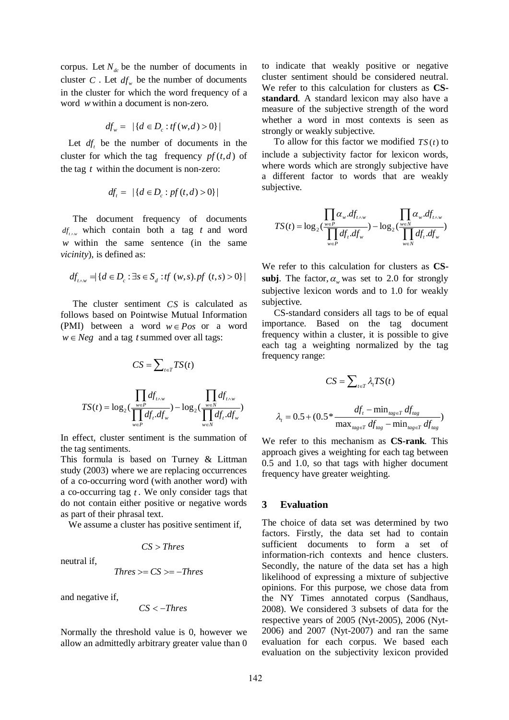corpus. Let  $N_{dc}$  be the number of documents in cluster *C*. Let  $df_w$  be the number of documents in the cluster for which the word frequency of a word *w* within a document is non-zero.

$$
df_w = | \{ d \in D_c : tf(w, d) > 0 \} |
$$

Let  $df_t$  be the number of documents in the cluster for which the tag frequency  $pf(t,d)$  of the tag *t* within the document is non-zero:

$$
df_{t} = | \{ d \in D_{c} : pf(t, d) > 0 \} |
$$

The document frequency of documents  $df_{t \wedge w}$  which contain both a tag *t* and word *w* within the same sentence (in the same *vicinity*), is defined as:

$$
df_{t \wedge w} = \{ d \in D_c : \exists s \in S_d : tf(w, s).pf(t, s) > 0 \} |
$$

The cluster sentiment *CS* is calculated as follows based on Pointwise Mutual Information (PMI) between a word  $w \in Pos$  or a word  $w \in Neg$  and a tag *t* summed over all tags:

$$
CS = \sum_{t \in T} TS(t)
$$

$$
TS(t) = \log_2(\frac{\prod_{w \in P} df_{t \wedge w}}{\prod_{w \in P} df_t df_w}) - \log_2(\frac{\prod_{w \in N} df_{t \wedge w}}{\prod_{w \in N} df_t df_w})
$$

In effect, cluster sentiment is the summation of the tag sentiments.

This formula is based on Turney & Littman study (2003) where we are replacing occurrences of a co-occurring word (with another word) with a co-occurring tag *t* . We only consider tags that do not contain either positive or negative words as part of their phrasal text.

We assume a cluster has positive sentiment if,

$$
CS > Thres
$$

neutral if,

$$
Thres >= CS >=-Thres
$$

and negative if,

$$
CS < -Thres
$$

Normally the threshold value is 0, however we allow an admittedly arbitrary greater value than 0 to indicate that weakly positive or negative cluster sentiment should be considered neutral. We refer to this calculation for clusters as **CSstandard**. A standard lexicon may also have a measure of the subjective strength of the word whether a word in most contexts is seen as strongly or weakly subjective.

To allow for this factor we modified  $TS(t)$  to include a subjectivity factor for lexicon words, where words which are strongly subjective have a different factor to words that are weakly subjective.

$$
TS(t) = \log_2(\frac{\prod_{w \in P} \alpha_w \cdot df_{t \wedge w}}{\prod_{w \in P} df_t \cdot df_w}) - \log_2(\frac{\prod_{w \in N} \alpha_w \cdot df_{t \wedge w}}{\prod_{w \in N} df_t \cdot df_w})
$$

We refer to this calculation for clusters as **CSsubj**. The factor,  $\alpha$  was set to 2.0 for strongly subjective lexicon words and to 1.0 for weakly subjective.

CS-standard considers all tags to be of equal importance. Based on the tag document frequency within a cluster, it is possible to give each tag a weighting normalized by the tag frequency range:

$$
CS = \sum_{t \in T} \lambda_t TS(t)
$$

$$
= 0.5 + (0.5 * \frac{df_t - \min_{tag \in T} df_{tag}}{\max_{tag \in T} df_{tag} - \min_{tag \in T} df_{tag}})
$$

We refer to this mechanism as **CS-rank**. This approach gives a weighting for each tag between 0.5 and 1.0, so that tags with higher document frequency have greater weighting.

#### **3 Evaluation**

 $\lambda_{\scriptscriptstyle t}$ 

The choice of data set was determined by two factors. Firstly, the data set had to contain sufficient documents to form a set of information-rich contexts and hence clusters. Secondly, the nature of the data set has a high likelihood of expressing a mixture of subjective opinions. For this purpose, we chose data from the NY Times annotated corpus (Sandhaus, 2008). We considered 3 subsets of data for the respective years of 2005 (Nyt-2005), 2006 (Nyt-2006) and 2007 (Nyt-2007) and ran the same evaluation for each corpus. We based each evaluation on the subjectivity lexicon provided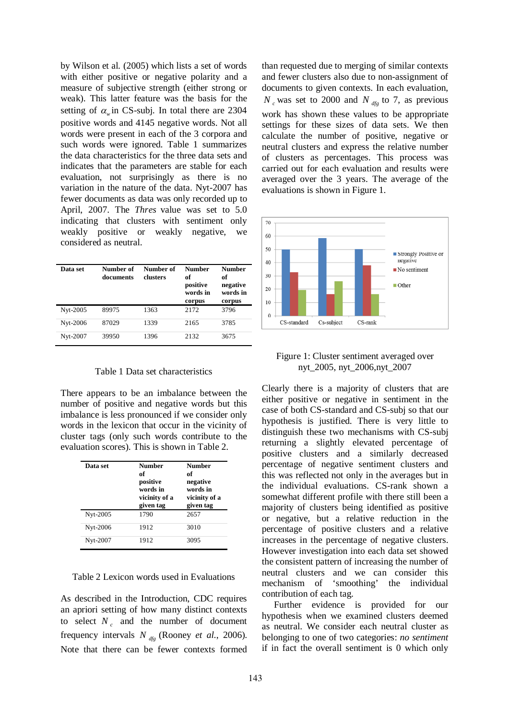by Wilson et al*.* (2005) which lists a set of words with either positive or negative polarity and a measure of subjective strength (either strong or weak). This latter feature was the basis for the setting of  $\alpha_w$  in CS-subj. In total there are 2304 positive words and 4145 negative words. Not all words were present in each of the 3 corpora and such words were ignored. Table 1 summarizes the data characteristics for the three data sets and indicates that the parameters are stable for each evaluation, not surprisingly as there is no variation in the nature of the data. Nyt-2007 has fewer documents as data was only recorded up to April, 2007. The *Thres* value was set to 5.0 indicating that clusters with sentiment only weakly positive or weakly negative, we considered as neutral.

| Data set | Number of<br>documents | Number of<br>clusters | <b>Number</b><br>of<br>positive<br>words in<br>corpus | <b>Number</b><br>of<br>negative<br>words in<br>corpus |
|----------|------------------------|-----------------------|-------------------------------------------------------|-------------------------------------------------------|
| Nyt-2005 | 89975                  | 1363                  | 2172                                                  | 3796                                                  |
| Nyt-2006 | 87029                  | 1339                  | 2165                                                  | 3785                                                  |
| Nyt-2007 | 39950                  | 1396                  | 2132                                                  | 3675                                                  |

Table 1 Data set characteristics

There appears to be an imbalance between the number of positive and negative words but this imbalance is less pronounced if we consider only words in the lexicon that occur in the vicinity of cluster tags (only such words contribute to the evaluation scores). This is shown in Table 2.

| Data set | <b>Number</b><br>of<br>positive<br>words in<br>vicinity of a<br>given tag | <b>Number</b><br>of<br>negative<br>words in<br>vicinity of a<br>given tag |
|----------|---------------------------------------------------------------------------|---------------------------------------------------------------------------|
| Nyt-2005 | 1790                                                                      | 2657                                                                      |
| Nyt-2006 | 1912                                                                      | 3010                                                                      |
| Nyt-2007 | 1912                                                                      | 3095                                                                      |

Table 2 Lexicon words used in Evaluations

As described in the Introduction, CDC requires an apriori setting of how many distinct contexts to select  $N_c$  and the number of document frequency intervals *N dfg* (Rooney *et al.*, 2006). Note that there can be fewer contexts formed

than requested due to merging of similar contexts and fewer clusters also due to non-assignment of documents to given contexts. In each evaluation,  $N_c$  was set to 2000 and  $N_{dfe}$  to 7, as previous work has shown these values to be appropriate settings for these sizes of data sets. We then calculate the number of positive, negative or neutral clusters and express the relative number of clusters as percentages. This process was carried out for each evaluation and results were averaged over the 3 years. The average of the evaluations is shown in Figure 1.



Figure 1: Cluster sentiment averaged over nyt\_2005, nyt\_2006,nyt\_2007

Clearly there is a majority of clusters that are either positive or negative in sentiment in the case of both CS-standard and CS-subj so that our hypothesis is justified. There is very little to distinguish these two mechanisms with CS-subj returning a slightly elevated percentage of positive clusters and a similarly decreased percentage of negative sentiment clusters and this was reflected not only in the averages but in the individual evaluations. CS-rank shown a somewhat different profile with there still been a majority of clusters being identified as positive or negative, but a relative reduction in the percentage of positive clusters and a relative increases in the percentage of negative clusters. However investigation into each data set showed the consistent pattern of increasing the number of neutral clusters and we can consider this mechanism of 'smoothing' the individual contribution of each tag.

Further evidence is provided for our hypothesis when we examined clusters deemed as neutral. We consider each neutral cluster as belonging to one of two categories: *no sentiment* if in fact the overall sentiment is 0 which only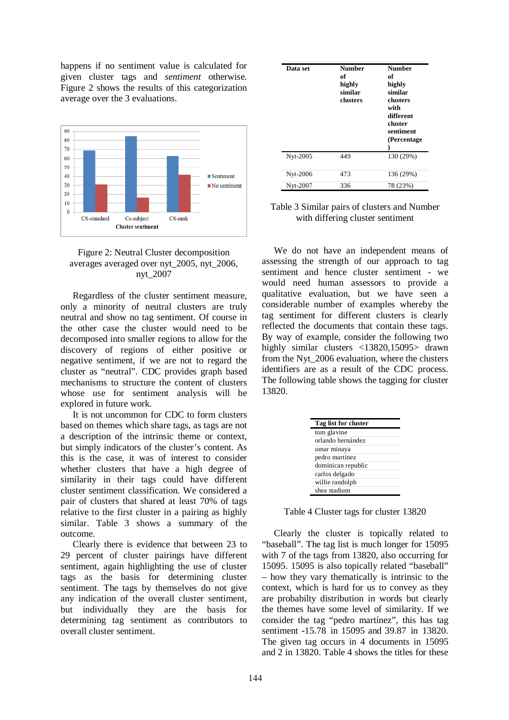happens if no sentiment value is calculated for given cluster tags and *sentiment* otherwise. Figure 2 shows the results of this categorization average over the 3 evaluations.



# Figure 2: Neutral Cluster decomposition averages averaged over nyt\_2005, nyt\_2006, nyt\_2007

Regardless of the cluster sentiment measure, only a minority of neutral clusters are truly neutral and show no tag sentiment. Of course in the other case the cluster would need to be decomposed into smaller regions to allow for the discovery of regions of either positive or negative sentiment, if we are not to regard the cluster as "neutral". CDC provides graph based mechanisms to structure the content of clusters whose use for sentiment analysis will be explored in future work.

It is not uncommon for CDC to form clusters based on themes which share tags, as tags are not a description of the intrinsic theme or context, but simply indicators of the cluster's content. As this is the case, it was of interest to consider whether clusters that have a high degree of similarity in their tags could have different cluster sentiment classification. We considered a pair of clusters that shared at least 70% of tags relative to the first cluster in a pairing as highly similar. Table 3 shows a summary of the outcome.

Clearly there is evidence that between 23 to 29 percent of cluster pairings have different sentiment, again highlighting the use of cluster tags as the basis for determining cluster sentiment. The tags by themselves do not give any indication of the overall cluster sentiment, but individually they are the basis for determining tag sentiment as contributors to overall cluster sentiment.

| Data set | <b>Number</b><br>of<br>highly<br>similar<br>clusters | <b>Number</b><br>of<br>highly<br>similar<br>clusters<br>with<br>different<br>cluster<br>sentiment<br>(Percentage) |
|----------|------------------------------------------------------|-------------------------------------------------------------------------------------------------------------------|
| Nyt-2005 | 449                                                  | 130 (29%)                                                                                                         |
| Nyt-2006 | 473                                                  | 136 (29%)                                                                                                         |
| Nyt-2007 | 336                                                  | 78 (23%)                                                                                                          |

### Table 3 Similar pairs of clusters and Number with differing cluster sentiment

We do not have an independent means of assessing the strength of our approach to tag sentiment and hence cluster sentiment - we would need human assessors to provide a qualitative evaluation, but we have seen a considerable number of examples whereby the tag sentiment for different clusters is clearly reflected the documents that contain these tags. By way of example, consider the following two highly similar clusters <13820,15095> drawn from the Nyt\_2006 evaluation, where the clusters identifiers are as a result of the CDC process. The following table shows the tagging for cluster 13820.

| Tag list for cluster |  |  |
|----------------------|--|--|
| tom glavine          |  |  |
| orlando hernández    |  |  |
| omar minaya          |  |  |
| pedro martínez       |  |  |
| dominican republic   |  |  |
| carlos delgado       |  |  |
| willie randolph      |  |  |
| shea stadium         |  |  |

Table 4 Cluster tags for cluster 13820

Clearly the cluster is topically related to "baseball". The tag list is much longer for 15095 with 7 of the tags from 13820, also occurring for 15095. 15095 is also topically related "baseball" – how they vary thematically is intrinsic to the context, which is hard for us to convey as they are probabilty distribution in words but clearly the themes have some level of similarity. If we consider the tag "pedro martínez", this has tag sentiment **-**15.78 in 15095 and 39.87 in 13820. The given tag occurs in 4 documents in 15095 and 2 in 13820. Table 4 shows the titles for these